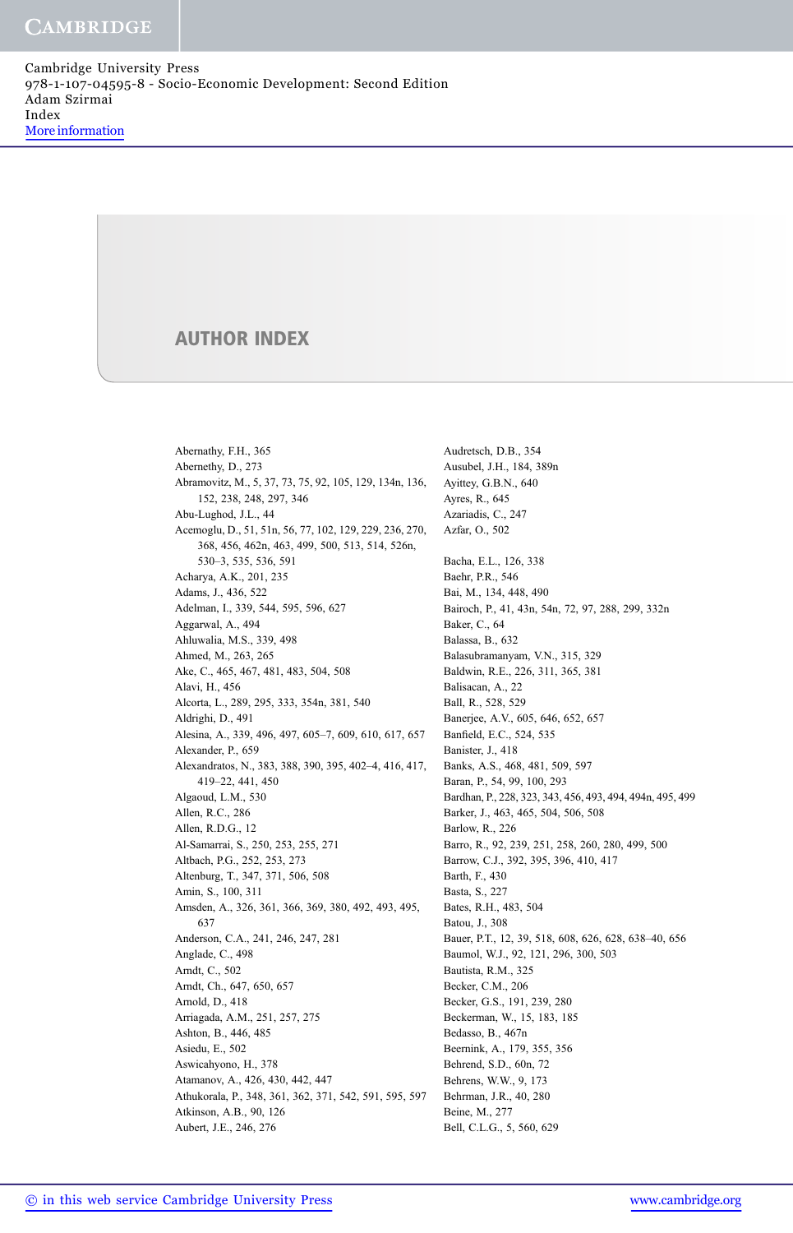**CAMBRIDGE** 

Cambridge University Press 978-1-107-04595-8 - Socio-Economic Development: Second Edition Adam Szirmai Index More information

# AUTHOR INDEX

Abernathy, F.H., 365 Abernethy, D., 273 Abramovitz, M., 5, 37, 73, 75, 92, 105, 129, 134n, 136, 152, 238, 248, 297, 346 Abu-Lughod, J.L., 44 Acemoglu, D., 51, 51n, 56, 77, 102, 129, 229, 236, 270, 368, 456, 462n, 463, 499, 500, 513, 514, 526n, 530–3, 535, 536, 591 Acharya, A.K., 201, 235 Adams, J., 436, 522 Adelman, I., 339, 544, 595, 596, 627 Aggarwal, A., 494 Ahluwalia, M.S., 339, 498 Ahmed, M., 263, 265 Ake, C., 465, 467, 481, 483, 504, 508 Alavi, H., 456 Alcorta, L., 289, 295, 333, 354n, 381, 540 Aldrighi, D., 491 Alesina, A., 339, 496, 497, 605–7, 609, 610, 617, 657 Alexander, P., 659 Alexandratos, N., 383, 388, 390, 395, 402–4, 416, 417, 419–22, 441, 450 Algaoud, L.M., 530 Allen, R.C., 286 Allen, R.D.G., 12 Al-Samarrai, S., 250, 253, 255, 271 Altbach, P.G., 252, 253, 273 Altenburg, T., 347, 371, 506, 508 Amin, S., 100, 311 Amsden, A., 326, 361, 366, 369, 380, 492, 493, 495, 637 Anderson, C.A., 241, 246, 247, 281 Anglade, C., 498 Arndt, C., 502 Arndt, Ch., 647, 650, 657 Arnold, D., 418 Arriagada, A.M., 251, 257, 275 Ashton, B., 446, 485 Asiedu, E., 502 Aswicahyono, H., 378 Atamanov, A., 426, 430, 442, 447 Athukorala, P., 348, 361, 362, 371, 542, 591, 595, 597 Atkinson, A.B., 90, 126 Aubert, J.E., 246, 276

Audretsch, D.B., 354 Ausubel, J.H., 184, 389n Ayittey, G.B.N., 640 Ayres, R., 645 Azariadis, C., 247 Azfar, O., 502 Bacha, E.L., 126, 338 Baehr, P.R., 546 Bai, M., 134, 448, 490 Bairoch, P., 41, 43n, 54n, 72, 97, 288, 299, 332n Baker, C., 64 Balassa, B., 632 Balasubramanyam, V.N., 315, 329 Baldwin, R.E., 226, 311, 365, 381 Balisacan, A., 22 Ball, R., 528, 529 Banerjee, A.V., 605, 646, 652, 657 Banfield, E.C., 524, 535 Banister, J., 418 Banks, A.S., 468, 481, 509, 597 Baran, P., 54, 99, 100, 293 Bardhan, P., 228, 323, 343, 456, 493, 494, 494n, 495, 499 Barker, J., 463, 465, 504, 506, 508 Barlow, R., 226 Barro, R., 92, 239, 251, 258, 260, 280, 499, 500 Barrow, C.J., 392, 395, 396, 410, 417 Barth, F., 430 Basta, S., 227 Bates, R.H., 483, 504 Batou, J., 308 Bauer, P.T., 12, 39, 518, 608, 626, 628, 638–40, 656 Baumol, W.J., 92, 121, 296, 300, 503 Bautista, R.M., 325 Becker, C.M., 206 Becker, G.S., 191, 239, 280 Beckerman, W., 15, 183, 185 Bedasso, B., 467n Beernink, A., 179, 355, 356 Behrend, S.D., 60n, 72 Behrens, W.W., 9, 173 Behrman, J.R., 40, 280 Beine, M., 277 Bell, C.L.G., 5, 560, 629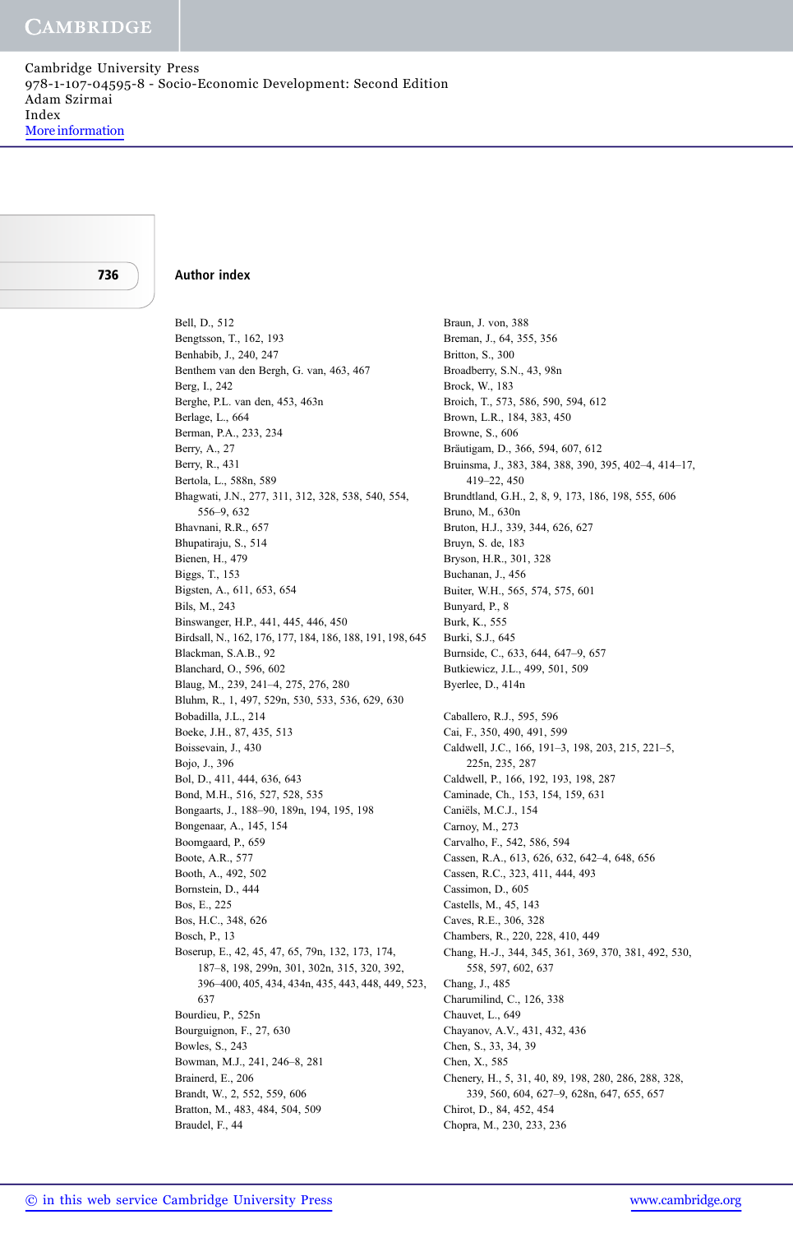Bell, D., 512 Bengtsson, T., 162, 193 Benhabib, J., 240, 247 Benthem van den Bergh, G. van, 463, 467 Berg, I., 242 Berghe, P.L. van den, 453, 463n Berlage, L., 664 Berman, P.A., 233, 234 Berry, A., 27 Berry, R., 431 Bertola, L., 588n, 589 Bhagwati, J.N., 277, 311, 312, 328, 538, 540, 554, 556–9, 632 Bhavnani, R.R., 657 Bhupatiraju, S., 514 Bienen, H., 479 Biggs, T., 153 Bigsten, A., 611, 653, 654 Bils, M., 243 Binswanger, H.P., 441, 445, 446, 450 Birdsall, N., 162, 176, 177, 184, 186, 188, 191, 198, 645 Blackman, S.A.B., 92 Blanchard, O., 596, 602 Blaug, M., 239, 241–4, 275, 276, 280 Bluhm, R., 1, 497, 529n, 530, 533, 536, 629, 630 Bobadilla, J.L., 214 Boeke, J.H., 87, 435, 513 Boissevain, J., 430 Bojo, J., 396 Bol, D., 411, 444, 636, 643 Bond, M.H., 516, 527, 528, 535 Bongaarts, J., 188–90, 189n, 194, 195, 198 Bongenaar, A., 145, 154 Boomgaard, P., 659 Boote, A.R., 577 Booth, A., 492, 502 Bornstein, D., 444 Bos, E., 225 Bos, H.C., 348, 626 Bosch, P., 13 Boserup, E., 42, 45, 47, 65, 79n, 132, 173, 174, 187–8, 198, 299n, 301, 302n, 315, 320, 392, 396–400, 405, 434, 434n, 435, 443, 448, 449, 523, 637 Bourdieu, P., 525n Bourguignon, F., 27, 630 Bowles, S., 243 Bowman, M.J., 241, 246–8, 281 Brainerd, E., 206 Brandt, W., 2, 552, 559, 606 Bratton, M., 483, 484, 504, 509 Braudel, F., 44

Braun, J. von, 388 Breman, J., 64, 355, 356 Britton, S., 300 Broadberry, S.N., 43, 98n Brock, W., 183 Broich, T., 573, 586, 590, 594, 612 Brown, L.R., 184, 383, 450 Browne, S., 606 Bräutigam, D., 366, 594, 607, 612 Bruinsma, J., 383, 384, 388, 390, 395, 402–4, 414–17, 419–22, 450 Brundtland, G.H., 2, 8, 9, 173, 186, 198, 555, 606 Bruno, M., 630n Bruton, H.J., 339, 344, 626, 627 Bruyn, S. de, 183 Bryson, H.R., 301, 328 Buchanan, J., 456 Buiter, W.H., 565, 574, 575, 601 Bunyard, P., 8 Burk, K., 555 Burki, S.J., 645 Burnside, C., 633, 644, 647–9, 657 Butkiewicz, J.L., 499, 501, 509 Byerlee, D., 414n Caballero, R.J., 595, 596 Cai, F., 350, 490, 491, 599 Caldwell, J.C., 166, 191–3, 198, 203, 215, 221–5, 225n, 235, 287 Caldwell, P., 166, 192, 193, 198, 287 Caminade, Ch., 153, 154, 159, 631 Caniëls, M.C.J., 154 Carnoy, M., 273 Carvalho, F., 542, 586, 594 Cassen, R.A., 613, 626, 632, 642–4, 648, 656 Cassen, R.C., 323, 411, 444, 493 Cassimon, D., 605 Castells, M., 45, 143 Caves, R.E., 306, 328 Chambers, R., 220, 228, 410, 449 Chang, H.-J., 344, 345, 361, 369, 370, 381, 492, 530, 558, 597, 602, 637 Chang, J., 485 Charumilind, C., 126, 338 Chauvet, L., 649 Chayanov, A.V., 431, 432, 436 Chen, S., 33, 34, 39 Chen, X., 585 Chenery, H., 5, 31, 40, 89, 198, 280, 286, 288, 328, 339, 560, 604, 627–9, 628n, 647, 655, 657 Chirot, D., 84, 452, 454 Chopra, M., 230, 233, 236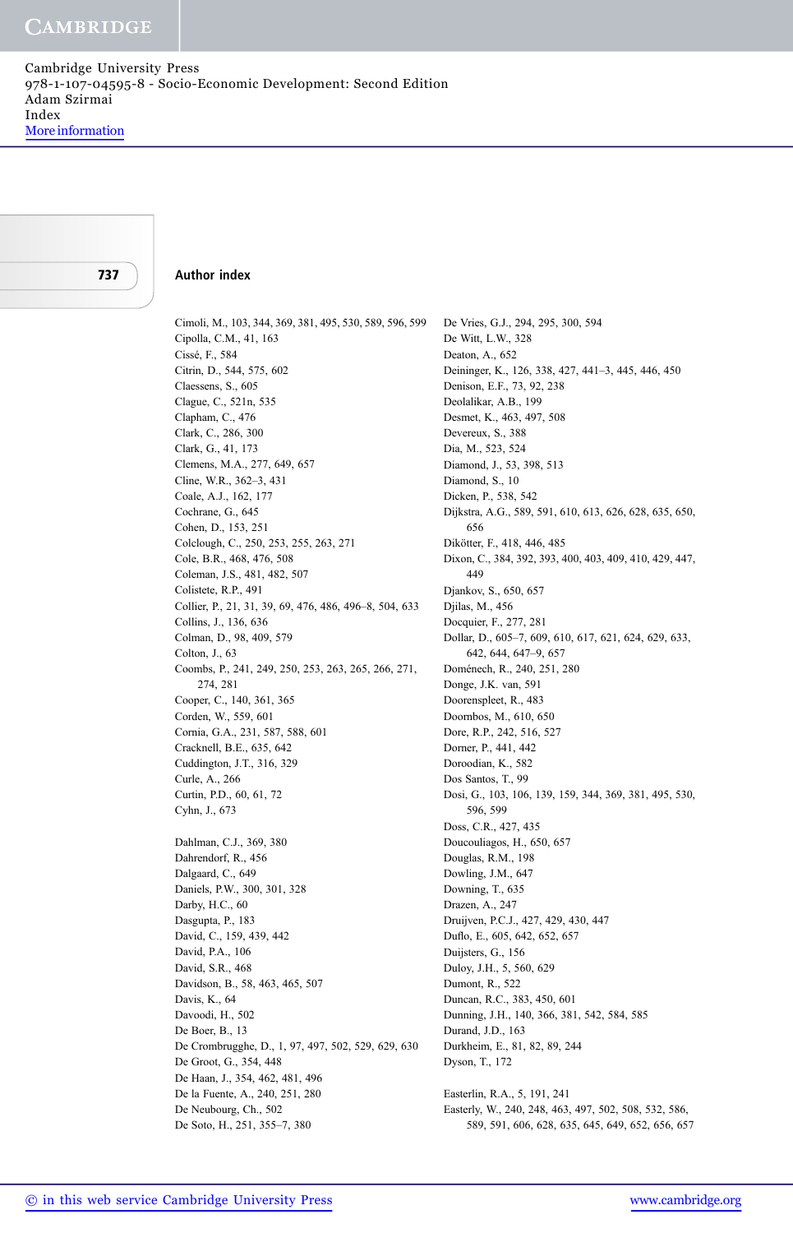#### 737 **Author index**

Cimoli, M., 103, 344, 369, 381, 495, 530, 589, 596, 599 Cipolla, C.M., 41, 163 Cissé, F., 584 Citrin, D., 544, 575, 602 Claessens, S., 605 Clague, C., 521n, 535 Clapham, C., 476 Clark, C., 286, 300 Clark, G., 41, 173 Clemens, M.A., 277, 649, 657 Cline, W.R., 362–3, 431 Coale, A.J., 162, 177 Cochrane, G., 645 Cohen, D., 153, 251 Colclough, C., 250, 253, 255, 263, 271 Cole, B.R., 468, 476, 508 Coleman, J.S., 481, 482, 507 Colistete, R.P., 491 Collier, P., 21, 31, 39, 69, 476, 486, 496–8, 504, 633 Collins, J., 136, 636 Colman, D., 98, 409, 579 Colton, J., 63 Coombs, P., 241, 249, 250, 253, 263, 265, 266, 271, 274, 281 Cooper, C., 140, 361, 365 Corden, W., 559, 601 Cornia, G.A., 231, 587, 588, 601 Cracknell, B.E., 635, 642 Cuddington, J.T., 316, 329 Curle, A., 266 Curtin, P.D., 60, 61, 72 Cyhn, J., 673 Dahlman, C.J., 369, 380 Dahrendorf, R., 456 Dalgaard, C., 649 Daniels, P.W., 300, 301, 328 Darby, H.C., 60 Dasgupta, P., 183 David, C., 159, 439, 442 David, P.A., 106 David, S.R., 468 Davidson, B., 58, 463, 465, 507 Davis, K., 64 Davoodi, H., 502 De Boer, B., 13 De Crombrugghe, D., 1, 97, 497, 502, 529, 629, 630 De Groot, G., 354, 448 De Haan, J., 354, 462, 481, 496 De la Fuente, A., 240, 251, 280 De Neubourg, Ch., 502 De Soto, H., 251, 355–7, 380

De Vries, G.J., 294, 295, 300, 594 De Witt, L.W., 328 Deaton, A., 652 Deininger, K., 126, 338, 427, 441–3, 445, 446, 450 Denison, E.F., 73, 92, 238 Deolalikar, A.B., 199 Desmet, K., 463, 497, 508 Devereux, S., 388 Dia, M., 523, 524 Diamond, J., 53, 398, 513 Diamond, S., 10 Dicken, P., 538, 542 Dijkstra, A.G., 589, 591, 610, 613, 626, 628, 635, 650, 656 Dikötter, F., 418, 446, 485 Dixon, C., 384, 392, 393, 400, 403, 409, 410, 429, 447, 449 Djankov, S., 650, 657 Djilas, M., 456 Docquier, F., 277, 281 Dollar, D., 605–7, 609, 610, 617, 621, 624, 629, 633, 642, 644, 647–9, 657 Doménech, R., 240, 251, 280 Donge, J.K. van, 591 Doorenspleet, R., 483 Doornbos, M., 610, 650 Dore, R.P., 242, 516, 527 Dorner, P., 441, 442 Doroodian, K., 582 Dos Santos, T., 99 Dosi, G., 103, 106, 139, 159, 344, 369, 381, 495, 530, 596, 599 Doss, C.R., 427, 435 Doucouliagos, H., 650, 657 Douglas, R.M., 198 Dowling, J.M., 647 Downing, T., 635 Drazen, A., 247 Druijven, P.C.J., 427, 429, 430, 447 Duflo, E., 605, 642, 652, 657 Duijsters, G., 156 Duloy, J.H., 5, 560, 629 Dumont, R., 522 Duncan, R.C., 383, 450, 601 Dunning, J.H., 140, 366, 381, 542, 584, 585 Durand, J.D., 163 Durkheim, E., 81, 82, 89, 244 Dyson, T., 172 Easterlin, R.A., 5, 191, 241 Easterly, W., 240, 248, 463, 497, 502, 508, 532, 586,

589, 591, 606, 628, 635, 645, 649, 652, 656, 657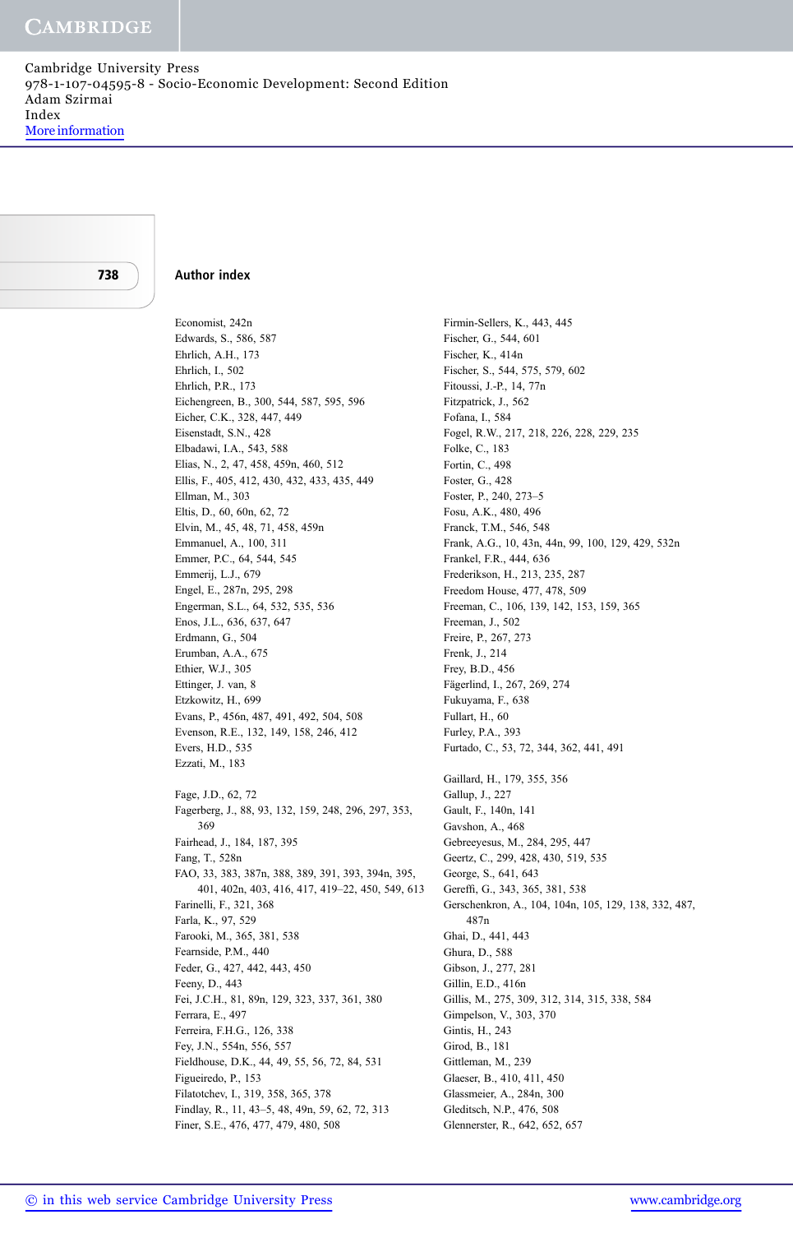### 738 **Author index**

Economist, 242n Edwards, S., 586, 587 Ehrlich, A.H., 173 Ehrlich, I., 502 Ehrlich, P.R., 173 Eichengreen, B., 300, 544, 587, 595, 596 Eicher, C.K., 328, 447, 449 Eisenstadt, S.N., 428 Elbadawi, I.A., 543, 588 Elias, N., 2, 47, 458, 459n, 460, 512 Ellis, F., 405, 412, 430, 432, 433, 435, 449 Ellman, M., 303 Eltis, D., 60, 60n, 62, 72 Elvin, M., 45, 48, 71, 458, 459n Emmanuel, A., 100, 311 Emmer, P.C., 64, 544, 545 Emmerij, L.J., 679 Engel, E., 287n, 295, 298 Engerman, S.L., 64, 532, 535, 536 Enos, J.L., 636, 637, 647 Erdmann, G., 504 Erumban, A.A., 675 Ethier, W.J., 305 Ettinger, J. van, 8 Etzkowitz, H., 699 Evans, P., 456n, 487, 491, 492, 504, 508 Evenson, R.E., 132, 149, 158, 246, 412 Evers, H.D., 535 Ezzati, M., 183 Fage, J.D., 62, 72 Fagerberg, J., 88, 93, 132, 159, 248, 296, 297, 353, 369 Fairhead, J., 184, 187, 395 Fang, T., 528n FAO, 33, 383, 387n, 388, 389, 391, 393, 394n, 395, 401, 402n, 403, 416, 417, 419–22, 450, 549, 613 Farinelli, F., 321, 368 Farla, K., 97, 529 Farooki, M., 365, 381, 538 Fearnside, P.M., 440 Feder, G., 427, 442, 443, 450 Feeny, D., 443 Fei, J.C.H., 81, 89n, 129, 323, 337, 361, 380 Ferrara, E., 497 Ferreira, F.H.G., 126, 338 Fey, J.N., 554n, 556, 557 Fieldhouse, D.K., 44, 49, 55, 56, 72, 84, 531 Figueiredo, P., 153 Filatotchev, I., 319, 358, 365, 378 Findlay, R., 11, 43–5, 48, 49n, 59, 62, 72, 313 Finer, S.E., 476, 477, 479, 480, 508

Firmin-Sellers, K., 443, 445 Fischer, G., 544, 601 Fischer, K., 414n Fischer, S., 544, 575, 579, 602 Fitoussi, J.-P., 14, 77n Fitzpatrick, J., 562 Fofana, I., 584 Fogel, R.W., 217, 218, 226, 228, 229, 235 Folke, C., 183 Fortin, C., 498 Foster, G., 428 Foster, P., 240, 273–5 Fosu, A.K., 480, 496 Franck, T.M., 546, 548 Frank, A.G., 10, 43n, 44n, 99, 100, 129, 429, 532n Frankel, F.R., 444, 636 Frederikson, H., 213, 235, 287 Freedom House, 477, 478, 509 Freeman, C., 106, 139, 142, 153, 159, 365 Freeman, J., 502 Freire, P., 267, 273 Frenk, J., 214 Frey, B.D., 456 Fägerlind, I., 267, 269, 274 Fukuyama, F., 638 Fullart, H., 60 Furley, P.A., 393 Furtado, C., 53, 72, 344, 362, 441, 491 Gaillard, H., 179, 355, 356 Gallup, J., 227 Gault, F., 140n, 141 Gavshon, A., 468 Gebreeyesus, M., 284, 295, 447 Geertz, C., 299, 428, 430, 519, 535 George, S., 641, 643 Gereffi, G., 343, 365, 381, 538 Gerschenkron, A., 104, 104n, 105, 129, 138, 332, 487, 487n Ghai, D., 441, 443 Ghura, D., 588 Gibson, J., 277, 281 Gillin, E.D., 416n Gillis, M., 275, 309, 312, 314, 315, 338, 584 Gimpelson, V., 303, 370 Gintis, H., 243 Girod, B., 181 Gittleman, M., 239 Glaeser, B., 410, 411, 450 Glassmeier, A., 284n, 300 Gleditsch, N.P., 476, 508 Glennerster, R., 642, 652, 657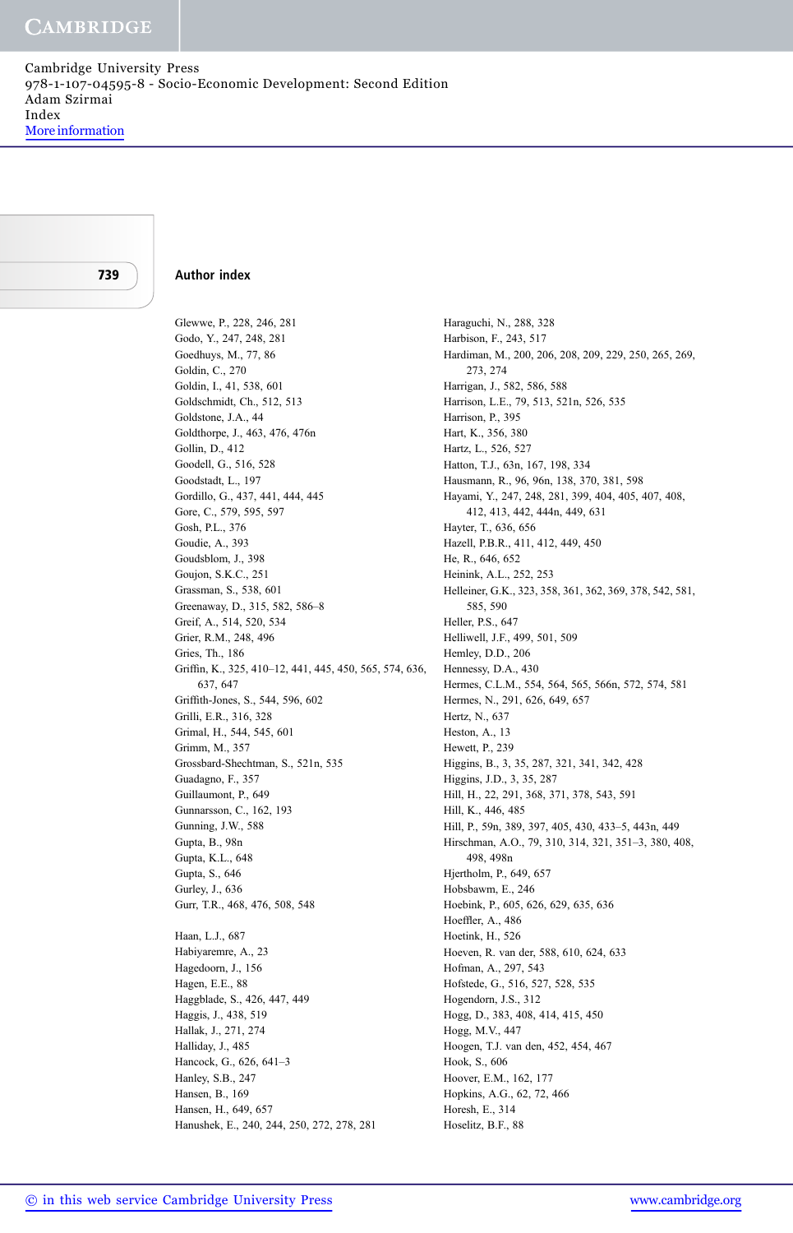Glewwe, P., 228, 246, 281 Godo, Y., 247, 248, 281 Goedhuys, M., 77, 86 Goldin, C., 270 Goldin, I., 41, 538, 601 Goldschmidt, Ch., 512, 513 Goldstone, J.A., 44 Goldthorpe, J., 463, 476, 476n Gollin, D., 412 Goodell, G., 516, 528 Goodstadt, L., 197 Gordillo, G., 437, 441, 444, 445 Gore, C., 579, 595, 597 Gosh, P.L., 376 Goudie, A., 393 Goudsblom, J., 398 Goujon, S.K.C., 251 Grassman, S., 538, 601 Greenaway, D., 315, 582, 586–8 Greif, A., 514, 520, 534 Grier, R.M., 248, 496 Gries, Th., 186 Griffin, K., 325, 410–12, 441, 445, 450, 565, 574, 636, 637, 647 Griffith-Jones, S., 544, 596, 602 Grilli, E.R., 316, 328 Grimal, H., 544, 545, 601 Grimm, M., 357 Grossbard-Shechtman, S., 521n, 535 Guadagno, F., 357 Guillaumont, P., 649 Gunnarsson, C., 162, 193 Gunning, J.W., 588 Gupta, B., 98n Gupta, K.L., 648 Gupta, S., 646 Gurley, J., 636 Gurr, T.R., 468, 476, 508, 548 Haan, L.J., 687 Habiyaremre, A., 23 Hagedoorn, J., 156 Hagen, E.E., 88 Haggblade, S., 426, 447, 449 Haggis, J., 438, 519 Hallak, J., 271, 274 Halliday, J., 485 Hancock, G., 626, 641–3 Hanley, S.B., 247 Hansen, B., 169 Hansen, H., 649, 657 Hanushek, E., 240, 244, 250, 272, 278, 281

Haraguchi, N., 288, 328 Harbison, F., 243, 517 Hardiman, M., 200, 206, 208, 209, 229, 250, 265, 269, 273, 274 Harrigan, J., 582, 586, 588 Harrison, L.E., 79, 513, 521n, 526, 535 Harrison, P., 395 Hart, K., 356, 380 Hartz, L., 526, 527 Hatton, T.J., 63n, 167, 198, 334 Hausmann, R., 96, 96n, 138, 370, 381, 598 Hayami, Y., 247, 248, 281, 399, 404, 405, 407, 408, 412, 413, 442, 444n, 449, 631 Hayter, T., 636, 656 Hazell, P.B.R., 411, 412, 449, 450 He, R., 646, 652 Heinink, A.L., 252, 253 Helleiner, G.K., 323, 358, 361, 362, 369, 378, 542, 581, 585, 590 Heller, P.S., 647 Helliwell, J.F., 499, 501, 509 Hemley, D.D., 206 Hennessy, D.A., 430 Hermes, C.L.M., 554, 564, 565, 566n, 572, 574, 581 Hermes, N., 291, 626, 649, 657 Hertz, N., 637 Heston, A., 13 Hewett, P., 239 Higgins, B., 3, 35, 287, 321, 341, 342, 428 Higgins, J.D., 3, 35, 287 Hill, H., 22, 291, 368, 371, 378, 543, 591 Hill, K., 446, 485 Hill, P., 59n, 389, 397, 405, 430, 433–5, 443n, 449 Hirschman, A.O., 79, 310, 314, 321, 351–3, 380, 408, 498, 498n Hjertholm, P., 649, 657 Hobsbawm, E., 246 Hoebink, P., 605, 626, 629, 635, 636 Hoeffler, A., 486 Hoetink, H., 526 Hoeven, R. van der, 588, 610, 624, 633 Hofman, A., 297, 543 Hofstede, G., 516, 527, 528, 535 Hogendorn, J.S., 312 Hogg, D., 383, 408, 414, 415, 450 Hogg, M.V., 447 Hoogen, T.J. van den, 452, 454, 467 Hook, S., 606 Hoover, E.M., 162, 177 Hopkins, A.G., 62, 72, 466 Horesh, E., 314 Hoselitz, B.F., 88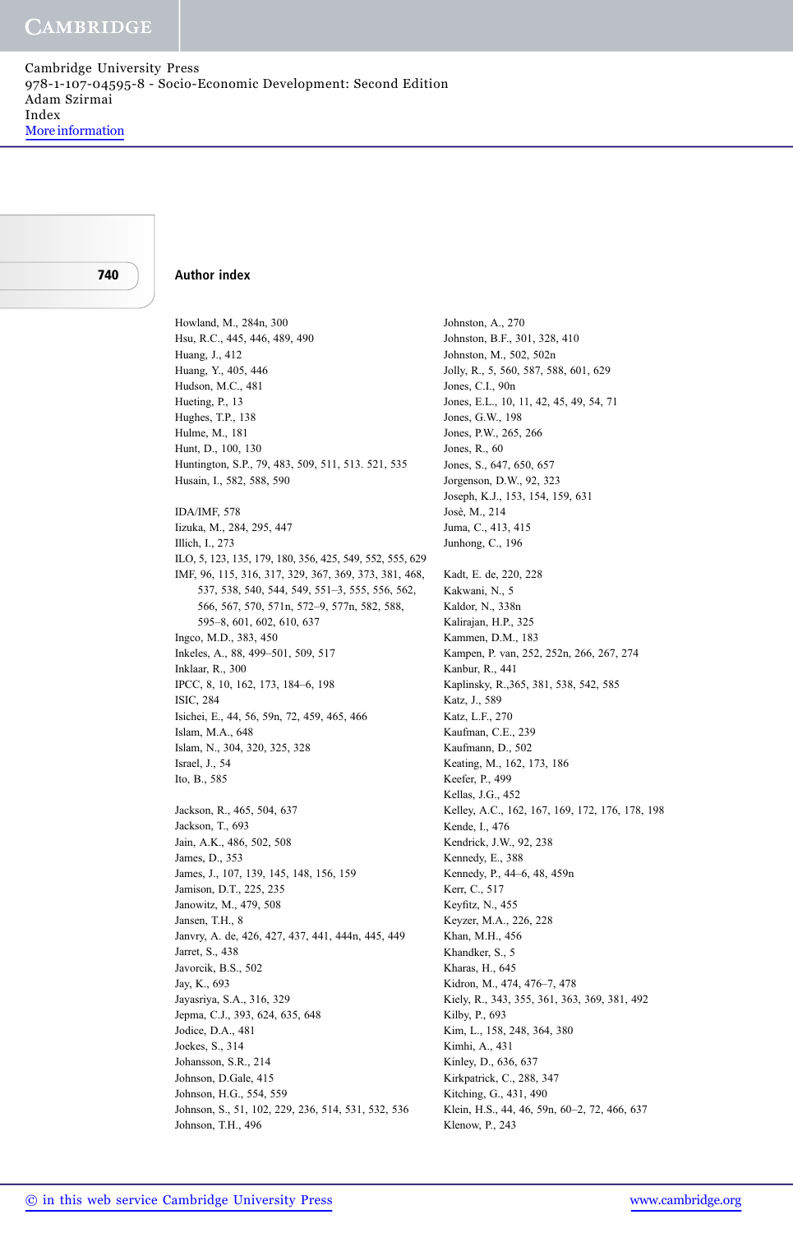## 740 **Author index**

Howland, M., 284n, 300 Hsu, R.C., 445, 446, 489, 490 Huang, J., 412 Huang, Y., 405, 446 Hudson, M.C., 481 Hueting, P., 13 Hughes, T.P., 138 Hulme, M., 181 Hunt, D., 100, 130 Huntington, S.P., 79, 483, 509, 511, 513. 521, 535 Husain, I., 582, 588, 590 IDA/IMF, 578 Iizuka, M., 284, 295, 447 Illich, I., 273 ILO, 5, 123, 135, 179, 180, 356, 425, 549, 552, 555, 629 IMF, 96, 115, 316, 317, 329, 367, 369, 373, 381, 468, 537, 538, 540, 544, 549, 551–3, 555, 556, 562, 566, 567, 570, 571n, 572–9, 577n, 582, 588, 595–8, 601, 602, 610, 637 Ingco, M.D., 383, 450 Inkeles, A., 88, 499–501, 509, 517 Inklaar, R., 300 IPCC, 8, 10, 162, 173, 184–6, 198 ISIC, 284 Isichei, E., 44, 56, 59n, 72, 459, 465, 466 Islam, M.A., 648 Islam, N., 304, 320, 325, 328 Israel, J., 54 Ito, B., 585 Jackson, R., 465, 504, 637 Jackson, T., 693 Jain, A.K., 486, 502, 508 James, D., 353 James, J., 107, 139, 145, 148, 156, 159 Jamison, D.T., 225, 235 Janowitz, M., 479, 508 Jansen, T.H., 8 Janvry, A. de, 426, 427, 437, 441, 444n, 445, 449 Jarret, S., 438 Javorcik, B.S., 502 Jay, K., 693 Jayasriya, S.A., 316, 329 Jepma, C.J., 393, 624, 635, 648 Jodice, D.A., 481 Joekes, S., 314 Johansson, S.R., 214 Johnson, D.Gale, 415 Johnson, H.G., 554, 559 Johnson, S., 51, 102, 229, 236, 514, 531, 532, 536 Johnson, T.H., 496

Johnston, A., 270 Johnston, B.F., 301, 328, 410 Johnston, M., 502, 502n Jolly, R., 5, 560, 587, 588, 601, 629 Jones, C.I., 90n Jones, E.L., 10, 11, 42, 45, 49, 54, 71 Jones, G.W., 198 Jones, P.W., 265, 266 Jones, R., 60 Jones, S., 647, 650, 657 Jorgenson, D.W., 92, 323 Joseph, K.J., 153, 154, 159, 631 Josè, M., 214 Juma, C., 413, 415 Junhong, C., 196 Kadt, E. de, 220, 228 Kakwani, N., 5 Kaldor, N., 338n Kalirajan, H.P., 325 Kammen, D.M., 183 Kampen, P. van, 252, 252n, 266, 267, 274 Kanbur, R., 441 Kaplinsky, R.,365, 381, 538, 542, 585 Katz, J., 589 Katz, L.F., 270 Kaufman, C.E., 239 Kaufmann, D., 502 Keating, M., 162, 173, 186 Keefer, P., 499 Kellas, J.G., 452 Kelley, A.C., 162, 167, 169, 172, 176, 178, 198 Kende, I., 476 Kendrick, J.W., 92, 238 Kennedy, E., 388 Kennedy, P., 44–6, 48, 459n Kerr, C., 517 Keyfitz, N., 455 Keyzer, M.A., 226, 228 Khan, M.H., 456 Khandker, S., 5 Kharas, H., 645 Kidron, M., 474, 476–7, 478 Kiely, R., 343, 355, 361, 363, 369, 381, 492 Kilby, P., 693 Kim, L., 158, 248, 364, 380 Kimhi, A., 431 Kinley, D., 636, 637 Kirkpatrick, C., 288, 347 Kitching, G., 431, 490 Klein, H.S., 44, 46, 59n, 60–2, 72, 466, 637 Klenow, P., 243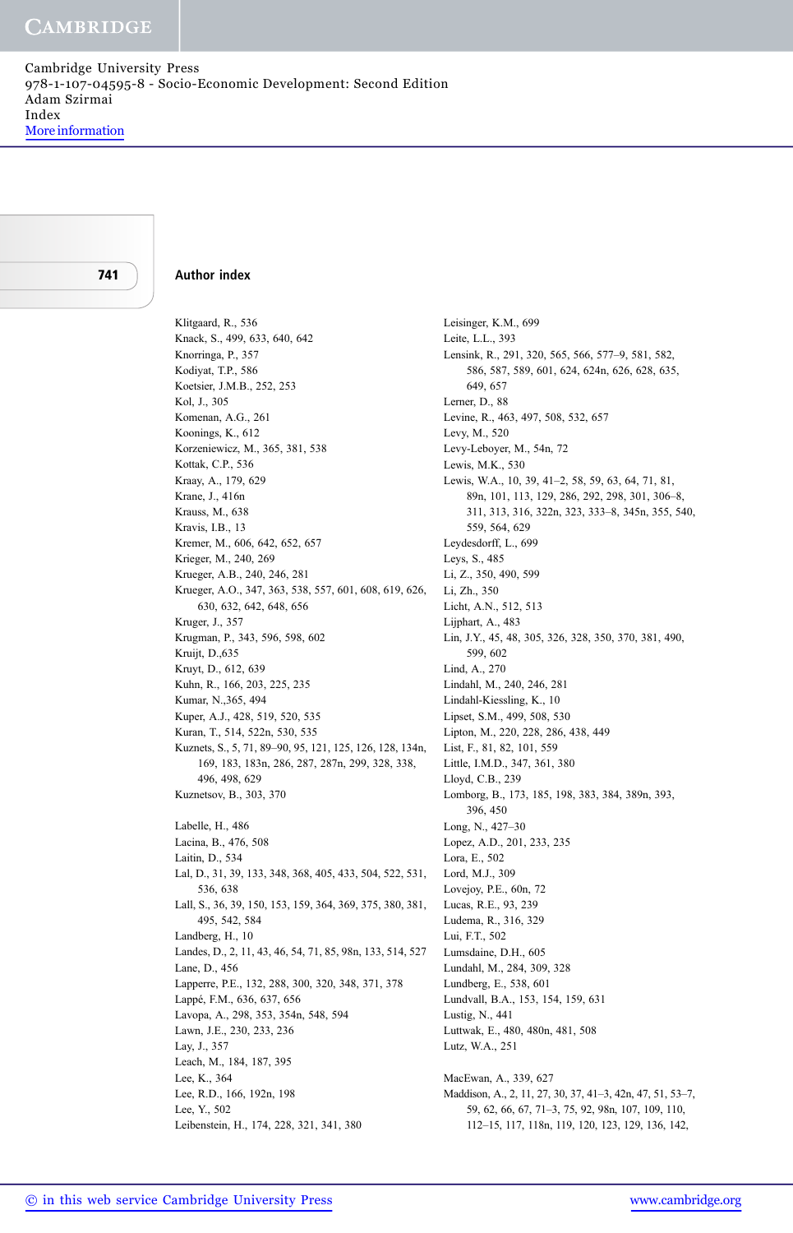## 741 **Author index**

Klitgaard, R., 536 Knack, S., 499, 633, 640, 642 Knorringa, P., 357 Kodiyat, T.P., 586 Koetsier, J.M.B., 252, 253 Kol, J., 305 Komenan, A.G., 261 Koonings, K., 612 Korzeniewicz, M., 365, 381, 538 Kottak, C.P., 536 Kraay, A., 179, 629 Krane, J., 416n Krauss, M., 638 Kravis, I.B., 13 Kremer, M., 606, 642, 652, 657 Krieger, M., 240, 269 Krueger, A.B., 240, 246, 281 Krueger, A.O., 347, 363, 538, 557, 601, 608, 619, 626, 630, 632, 642, 648, 656 Kruger, J., 357 Krugman, P., 343, 596, 598, 602 Kruijt, D.,635 Kruyt, D., 612, 639 Kuhn, R., 166, 203, 225, 235 Kumar, N.,365, 494 Kuper, A.J., 428, 519, 520, 535 Kuran, T., 514, 522n, 530, 535 Kuznets, S., 5, 71, 89–90, 95, 121, 125, 126, 128, 134n, 169, 183, 183n, 286, 287, 287n, 299, 328, 338, 496, 498, 629 Kuznetsov, B., 303, 370 Labelle, H., 486 Lacina, B., 476, 508 Laitin, D., 534 Lal, D., 31, 39, 133, 348, 368, 405, 433, 504, 522, 531, 536, 638 Lall, S., 36, 39, 150, 153, 159, 364, 369, 375, 380, 381, 495, 542, 584 Landberg, H., 10 Landes, D., 2, 11, 43, 46, 54, 71, 85, 98n, 133, 514, 527 Lane, D., 456 Lapperre, P.E., 132, 288, 300, 320, 348, 371, 378 Lappé, F.M., 636, 637, 656 Lavopa, A., 298, 353, 354n, 548, 594 Lawn, J.E., 230, 233, 236 Lay, J., 357 Leach, M., 184, 187, 395 Lee, K., 364 Lee, R.D., 166, 192n, 198 Lee, Y., 502 Leibenstein, H., 174, 228, 321, 341, 380

Leisinger, K.M., 699 Leite, L.L., 393 Lensink, R., 291, 320, 565, 566, 577–9, 581, 582, 586, 587, 589, 601, 624, 624n, 626, 628, 635, 649, 657 Lerner, D., 88 Levine, R., 463, 497, 508, 532, 657 Levy, M., 520 Levy-Leboyer, M., 54n, 72 Lewis, M.K., 530 Lewis, W.A., 10, 39, 41–2, 58, 59, 63, 64, 71, 81, 89n, 101, 113, 129, 286, 292, 298, 301, 306–8, 311, 313, 316, 322n, 323, 333–8, 345n, 355, 540, 559, 564, 629 Leydesdorff, L., 699 Leys, S., 485 Li, Z., 350, 490, 599 Li, Zh., 350 Licht, A.N., 512, 513 Lijphart, A., 483 Lin, J.Y., 45, 48, 305, 326, 328, 350, 370, 381, 490, 599, 602 Lind, A., 270 Lindahl, M., 240, 246, 281 Lindahl-Kiessling, K., 10 Lipset, S.M., 499, 508, 530 Lipton, M., 220, 228, 286, 438, 449 List, F., 81, 82, 101, 559 Little, I.M.D., 347, 361, 380 Lloyd, C.B., 239 Lomborg, B., 173, 185, 198, 383, 384, 389n, 393, 396, 450 Long, N., 427–30 Lopez, A.D., 201, 233, 235 Lora, E., 502 Lord, M.J., 309 Lovejoy, P.E., 60n, 72 Lucas, R.E., 93, 239 Ludema, R., 316, 329 Lui, F.T., 502 Lumsdaine, D.H., 605 Lundahl, M., 284, 309, 328 Lundberg, E., 538, 601 Lundvall, B.A., 153, 154, 159, 631 Lustig, N., 441 Luttwak, E., 480, 480n, 481, 508 Lutz, W.A., 251 MacEwan, A., 339, 627 Maddison, A., 2, 11, 27, 30, 37, 41–3, 42n, 47, 51, 53–7, 59, 62, 66, 67, 71–3, 75, 92, 98n, 107, 109, 110, 112–15, 117, 118n, 119, 120, 123, 129, 136, 142,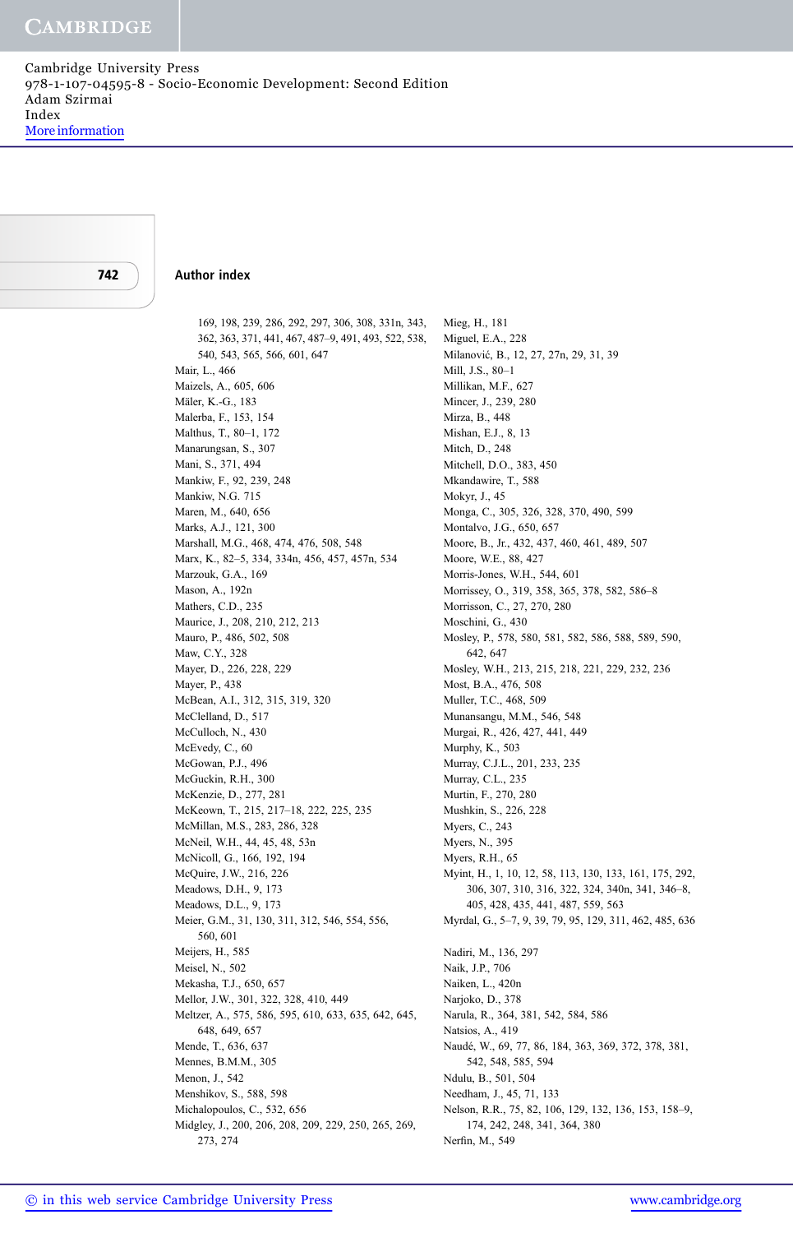# 742 **Author index**

169, 198, 239, 286, 292, 297, 306, 308, 331n, 343, 362, 363, 371, 441, 467, 487–9, 491, 493, 522, 538, 540, 543, 565, 566, 601, 647 Mair, L., 466 Maizels, A., 605, 606 Mäler, K.-G., 183 Malerba, F., 153, 154 Malthus, T., 80–1, 172 Manarungsan, S., 307 Mani, S., 371, 494 Mankiw, F., 92, 239, 248 Mankiw, N.G. 715 Maren, M., 640, 656 Marks, A.J., 121, 300 Marshall, M.G., 468, 474, 476, 508, 548 Marx, K., 82–5, 334, 334n, 456, 457, 457n, 534 Marzouk, G.A., 169 Mason, A., 192n Mathers, C.D., 235 Maurice, J., 208, 210, 212, 213 Mauro, P., 486, 502, 508 Maw, C.Y., 328 Mayer, D., 226, 228, 229 Mayer, P., 438 McBean, A.I., 312, 315, 319, 320 McClelland, D., 517 McCulloch, N., 430 McEvedy, C., 60 McGowan, P.J., 496 McGuckin, R.H., 300 McKenzie, D., 277, 281 McKeown, T., 215, 217–18, 222, 225, 235 McMillan, M.S., 283, 286, 328 McNeil, W.H., 44, 45, 48, 53n McNicoll, G., 166, 192, 194 McQuire, J.W., 216, 226 Meadows, D.H., 9, 173 Meadows, D.L., 9, 173 Meier, G.M., 31, 130, 311, 312, 546, 554, 556, 560, 601 Meijers, H., 585 Meisel, N., 502 Mekasha, T.J., 650, 657 Mellor, J.W., 301, 322, 328, 410, 449 Meltzer, A., 575, 586, 595, 610, 633, 635, 642, 645, 648, 649, 657 Mende, T., 636, 637 Mennes, B.M.M., 305 Menon, J., 542 Menshikov, S., 588, 598 Michalopoulos, C., 532, 656 Midgley, J., 200, 206, 208, 209, 229, 250, 265, 269, 273, 274

Mieg, H., 181 Miguel, E.A., 228 Milanović, B., 12, 27, 27n, 29, 31, 39 Mill, J.S., 80–1 Millikan, M.F., 627 Mincer, J., 239, 280 Mirza, B., 448 Mishan, E.J., 8, 13 Mitch, D., 248 Mitchell, D.O., 383, 450 Mkandawire, T., 588 Mokyr, J., 45 Monga, C., 305, 326, 328, 370, 490, 599 Montalvo, J.G., 650, 657 Moore, B., Jr., 432, 437, 460, 461, 489, 507 Moore, W.E., 88, 427 Morris-Jones, W.H., 544, 601 Morrissey, O., 319, 358, 365, 378, 582, 586–8 Morrisson, C., 27, 270, 280 Moschini, G., 430 Mosley, P., 578, 580, 581, 582, 586, 588, 589, 590, 642, 647 Mosley, W.H., 213, 215, 218, 221, 229, 232, 236 Most, B.A., 476, 508 Muller, T.C., 468, 509 Munansangu, M.M., 546, 548 Murgai, R., 426, 427, 441, 449 Murphy, K., 503 Murray, C.J.L., 201, 233, 235 Murray, C.L., 235 Murtin, F., 270, 280 Mushkin, S., 226, 228 Myers, C., 243 Myers, N., 395 Myers, R.H., 65 Myint, H., 1, 10, 12, 58, 113, 130, 133, 161, 175, 292, 306, 307, 310, 316, 322, 324, 340n, 341, 346–8, 405, 428, 435, 441, 487, 559, 563 Myrdal, G., 5–7, 9, 39, 79, 95, 129, 311, 462, 485, 636 Nadiri, M., 136, 297 Naik, J.P., 706 Naiken, L., 420n Narjoko, D., 378 Narula, R., 364, 381, 542, 584, 586 Natsios, A., 419 Naudé, W., 69, 77, 86, 184, 363, 369, 372, 378, 381, 542, 548, 585, 594 Ndulu, B., 501, 504 Needham, J., 45, 71, 133 Nelson, R.R., 75, 82, 106, 129, 132, 136, 153, 158–9, 174, 242, 248, 341, 364, 380 Nerfin, M., 549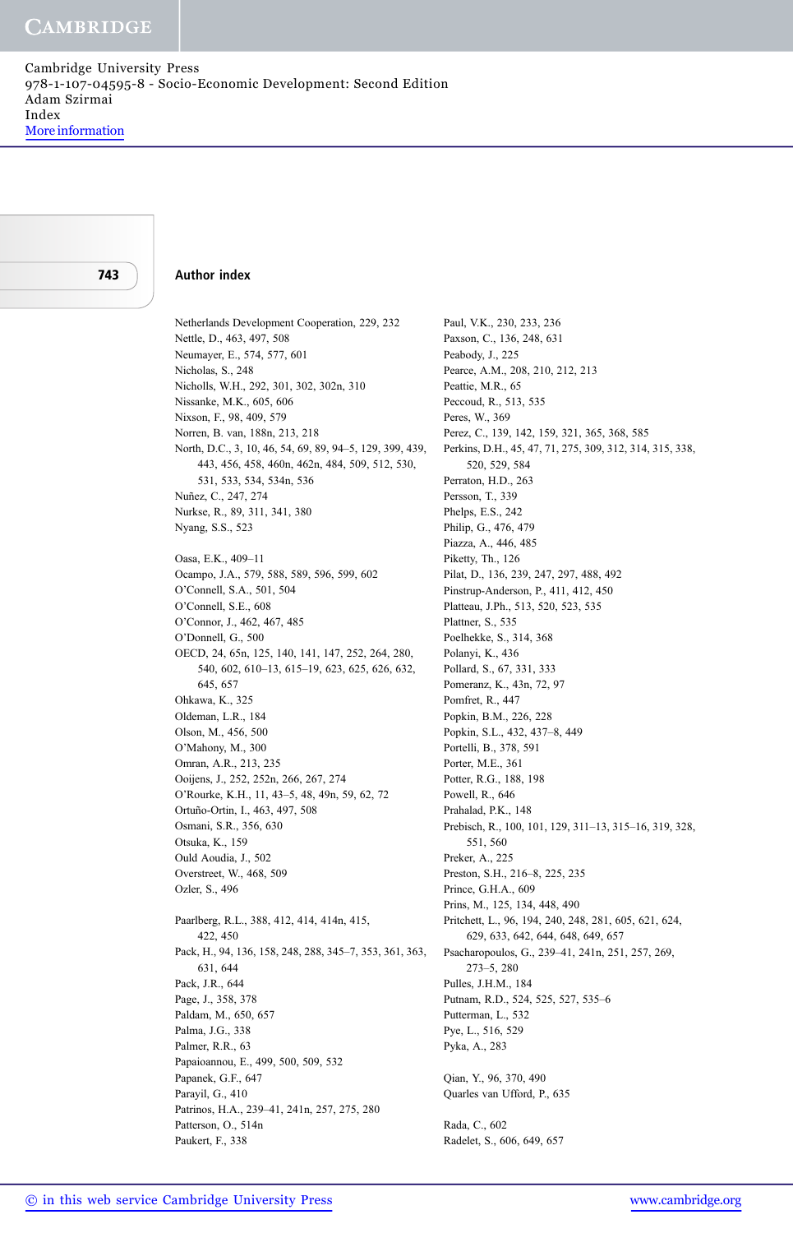#### 743 **Author index**

Netherlands Development Cooperation, 229, 232 Nettle, D., 463, 497, 508 Neumayer, E., 574, 577, 601 Nicholas, S., 248 Nicholls, W.H., 292, 301, 302, 302n, 310 Nissanke, M.K., 605, 606 Nixson, F., 98, 409, 579 Norren, B. van, 188n, 213, 218 North, D.C., 3, 10, 46, 54, 69, 89, 94–5, 129, 399, 439, 443, 456, 458, 460n, 462n, 484, 509, 512, 530, 531, 533, 534, 534n, 536 Nuñez, C., 247, 274 Nurkse, R., 89, 311, 341, 380 Nyang, S.S., 523 Oasa, E.K., 409–11 Ocampo, J.A., 579, 588, 589, 596, 599, 602 O'Connell, S.A., 501, 504 O'Connell, S.E., 608 O'Connor, J., 462, 467, 485 O'Donnell, G., 500 OECD, 24, 65n, 125, 140, 141, 147, 252, 264, 280, 540, 602, 610–13, 615–19, 623, 625, 626, 632, 645, 657 Ohkawa, K., 325 Oldeman, L.R., 184 Olson, M., 456, 500 O'Mahony, M., 300 Omran, A.R., 213, 235 Ooijens, J., 252, 252n, 266, 267, 274 O'Rourke, K.H., 11, 43–5, 48, 49n, 59, 62, 72 Ortuño-Ortin, I., 463, 497, 508 Osmani, S.R., 356, 630 Otsuka, K., 159 Ould Aoudia, J., 502 Overstreet, W., 468, 509 Ozler, S., 496 Paarlberg, R.L., 388, 412, 414, 414n, 415, 422, 450 Pack, H., 94, 136, 158, 248, 288, 345–7, 353, 361, 363, 631, 644 Pack, J.R., 644 Page, J., 358, 378 Paldam, M., 650, 657 Palma, J.G., 338 Palmer, R.R., 63 Papaioannou, E., 499, 500, 509, 532 Papanek, G.F., 647 Parayil, G., 410 Patrinos, H.A., 239–41, 241n, 257, 275, 280 Patterson, O., 514n Paukert, F., 338

Paul, V.K., 230, 233, 236 Paxson, C., 136, 248, 631 Peabody, J., 225 Pearce, A.M., 208, 210, 212, 213 Peattie, M.R., 65 Peccoud, R., 513, 535 Peres, W., 369 Perez, C., 139, 142, 159, 321, 365, 368, 585 Perkins, D.H., 45, 47, 71, 275, 309, 312, 314, 315, 338, 520, 529, 584 Perraton, H.D., 263 Persson, T., 339 Phelps, E.S., 242 Philip, G., 476, 479 Piazza, A., 446, 485 Piketty, Th., 126 Pilat, D., 136, 239, 247, 297, 488, 492 Pinstrup-Anderson, P., 411, 412, 450 Platteau, J.Ph., 513, 520, 523, 535 Plattner, S., 535 Poelhekke, S., 314, 368 Polanyi, K., 436 Pollard, S., 67, 331, 333 Pomeranz, K., 43n, 72, 97 Pomfret, R., 447 Popkin, B.M., 226, 228 Popkin, S.L., 432, 437–8, 449 Portelli, B., 378, 591 Porter, M.E., 361 Potter, R.G., 188, 198 Powell, R., 646 Prahalad, P.K., 148 Prebisch, R., 100, 101, 129, 311–13, 315–16, 319, 328, 551, 560 Preker, A., 225 Preston, S.H., 216–8, 225, 235 Prince, G.H.A., 609 Prins, M., 125, 134, 448, 490 Pritchett, L., 96, 194, 240, 248, 281, 605, 621, 624, 629, 633, 642, 644, 648, 649, 657 Psacharopoulos, G., 239–41, 241n, 251, 257, 269, 273–5, 280 Pulles, J.H.M., 184 Putnam, R.D., 524, 525, 527, 535–6 Putterman, L., 532 Pye, L., 516, 529 Pyka, A., 283 Qian, Y., 96, 370, 490 Quarles van Ufford, P., 635 Rada, C., 602 Radelet, S., 606, 649, 657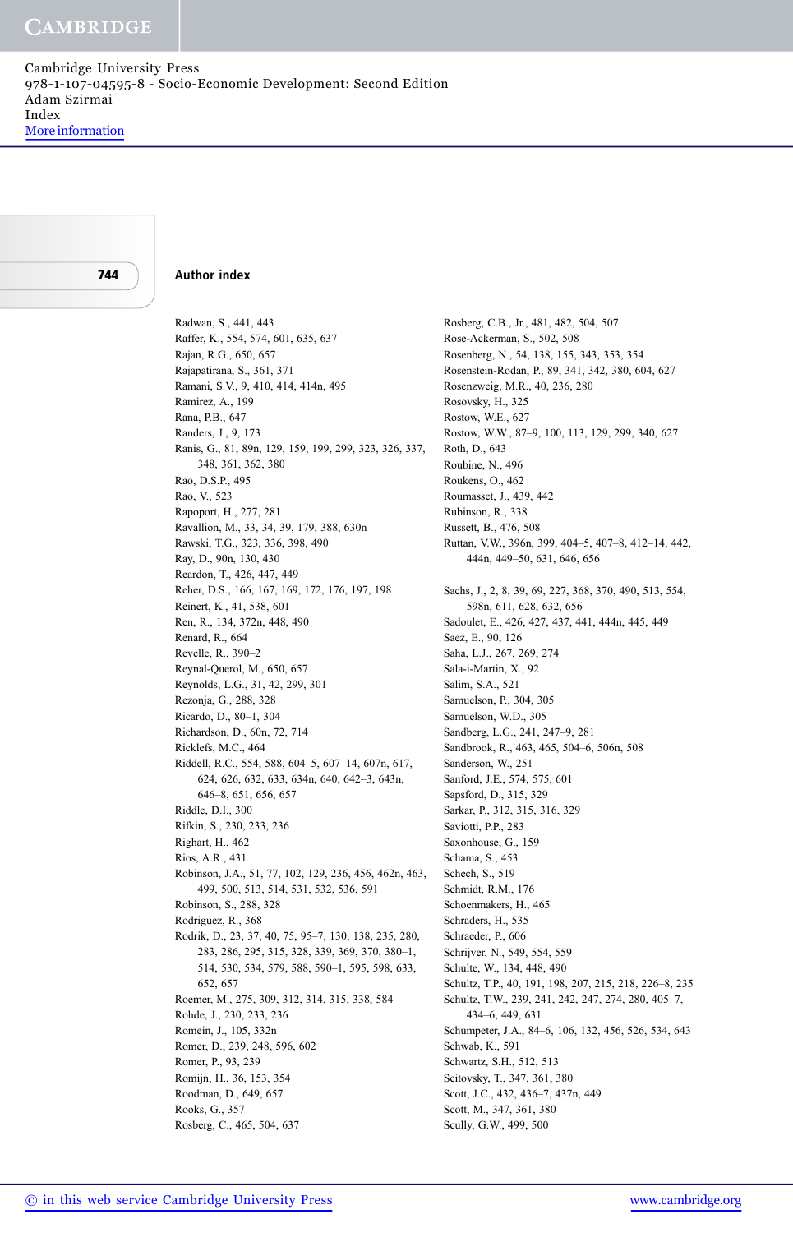#### 744 **Author index**

Radwan, S., 441, 443 Raffer, K., 554, 574, 601, 635, 637 Rajan, R.G., 650, 657 Rajapatirana, S., 361, 371 Ramani, S.V., 9, 410, 414, 414n, 495 Ramirez, A., 199 Rana, P.B., 647 Randers, J., 9, 173 Ranis, G., 81, 89n, 129, 159, 199, 299, 323, 326, 337, 348, 361, 362, 380 Rao, D.S.P., 495 Rao, V., 523 Rapoport, H., 277, 281 Ravallion, M., 33, 34, 39, 179, 388, 630n Rawski, T.G., 323, 336, 398, 490 Ray, D., 90n, 130, 430 Reardon, T., 426, 447, 449 Reher, D.S., 166, 167, 169, 172, 176, 197, 198 Reinert, K., 41, 538, 601 Ren, R., 134, 372n, 448, 490 Renard, R., 664 Revelle, R., 390–2 Reynal-Querol, M., 650, 657 Reynolds, L.G., 31, 42, 299, 301 Rezonja, G., 288, 328 Ricardo, D., 80–1, 304 Richardson, D., 60n, 72, 714 Ricklefs, M.C., 464 Riddell, R.C., 554, 588, 604–5, 607–14, 607n, 617, 624, 626, 632, 633, 634n, 640, 642–3, 643n, 646–8, 651, 656, 657 Riddle, D.I., 300 Rifkin, S., 230, 233, 236 Righart, H., 462 Rios, A.R., 431 Robinson, J.A., 51, 77, 102, 129, 236, 456, 462n, 463, 499, 500, 513, 514, 531, 532, 536, 591 Robinson, S., 288, 328 Rodriguez, R., 368 Rodrik, D., 23, 37, 40, 75, 95–7, 130, 138, 235, 280, 283, 286, 295, 315, 328, 339, 369, 370, 380–1, 514, 530, 534, 579, 588, 590–1, 595, 598, 633, 652, 657 Roemer, M., 275, 309, 312, 314, 315, 338, 584 Rohde, J., 230, 233, 236 Romein, J., 105, 332n Romer, D., 239, 248, 596, 602 Romer, P., 93, 239 Romijn, H., 36, 153, 354 Roodman, D., 649, 657 Rooks, G., 357 Rosberg, C., 465, 504, 637

Rosberg, C.B., Jr., 481, 482, 504, 507 Rose-Ackerman, S., 502, 508 Rosenberg, N., 54, 138, 155, 343, 353, 354 Rosenstein-Rodan, P., 89, 341, 342, 380, 604, 627 Rosenzweig, M.R., 40, 236, 280 Rosovsky, H., 325 Rostow, W.E., 627 Rostow, W.W., 87–9, 100, 113, 129, 299, 340, 627 Roth, D., 643 Roubine, N., 496 Roukens, O., 462 Roumasset, J., 439, 442 Rubinson, R., 338 Russett, B., 476, 508 Ruttan, V.W., 396n, 399, 404–5, 407–8, 412–14, 442, 444n, 449–50, 631, 646, 656 Sachs, J., 2, 8, 39, 69, 227, 368, 370, 490, 513, 554, 598n, 611, 628, 632, 656 Sadoulet, E., 426, 427, 437, 441, 444n, 445, 449 Saez, E., 90, 126 Saha, L.J., 267, 269, 274 Sala-i-Martin, X., 92 Salim, S.A., 521 Samuelson, P., 304, 305 Samuelson, W.D., 305 Sandberg, L.G., 241, 247–9, 281 Sandbrook, R., 463, 465, 504–6, 506n, 508 Sanderson, W., 251 Sanford, J.E., 574, 575, 601 Sapsford, D., 315, 329 Sarkar, P., 312, 315, 316, 329 Saviotti, P.P., 283 Saxonhouse, G., 159 Schama, S., 453 Schech, S., 519 Schmidt, R.M., 176 Schoenmakers, H., 465 Schraders, H., 535 Schraeder, P., 606 Schrijver, N., 549, 554, 559 Schulte, W., 134, 448, 490 Schultz, T.P., 40, 191, 198, 207, 215, 218, 226–8, 235 Schultz, T.W., 239, 241, 242, 247, 274, 280, 405–7, 434–6, 449, 631 Schumpeter, J.A., 84–6, 106, 132, 456, 526, 534, 643 Schwab, K., 591 Schwartz, S.H., 512, 513 Scitovsky, T., 347, 361, 380 Scott, J.C., 432, 436–7, 437n, 449 Scott, M., 347, 361, 380 Scully, G.W., 499, 500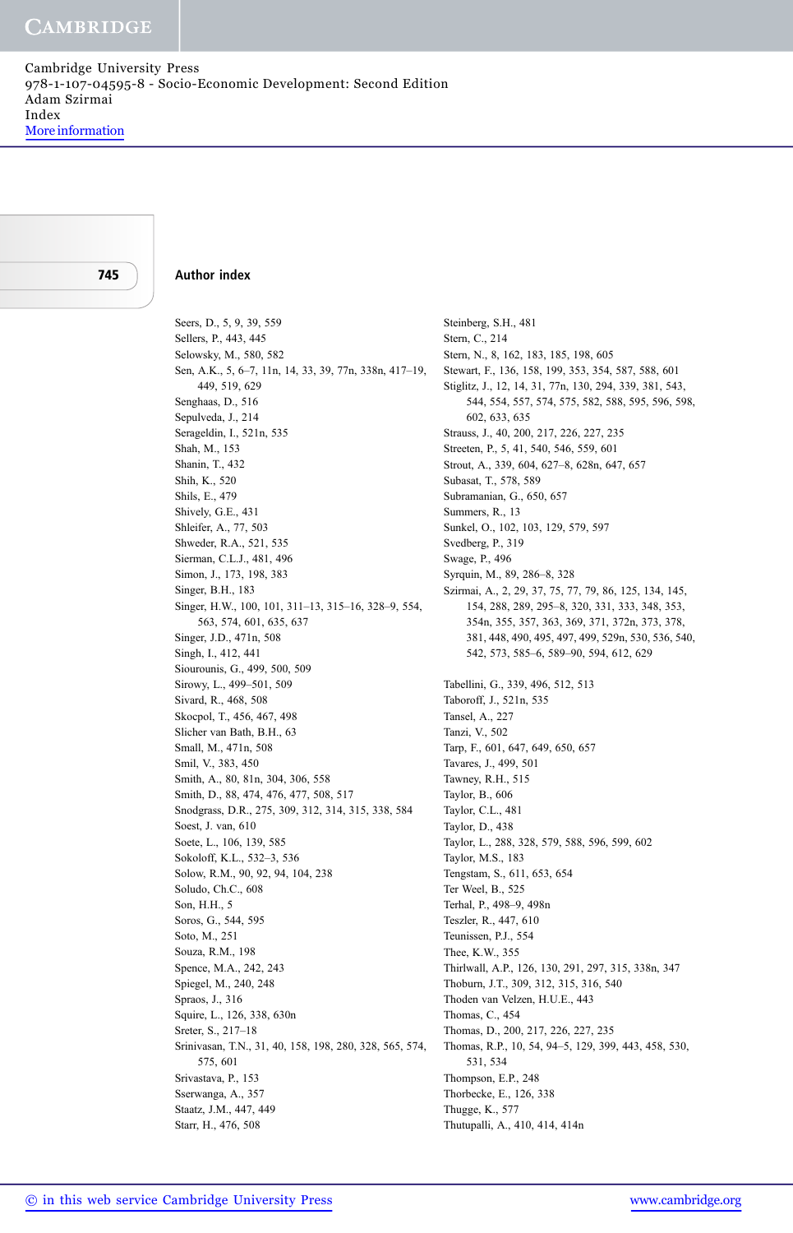Seers, D., 5, 9, 39, 559 Sellers, P., 443, 445 Selowsky, M., 580, 582 Sen, A.K., 5, 6–7, 11n, 14, 33, 39, 77n, 338n, 417–19, 449, 519, 629 Senghaas, D., 516 Sepulveda, J., 214 Serageldin, I., 521n, 535 Shah, M., 153 Shanin, T., 432 Shih, K., 520 Shils, E., 479 Shively, G.E., 431 Shleifer, A., 77, 503 Shweder, R.A., 521, 535 Sierman, C.L.J., 481, 496 Simon, J., 173, 198, 383 Singer, B.H., 183 Singer, H.W., 100, 101, 311–13, 315–16, 328–9, 554, 563, 574, 601, 635, 637 Singer, J.D., 471n, 508 Singh, I., 412, 441 Siourounis, G., 499, 500, 509 Sirowy, L., 499–501, 509 Sivard, R., 468, 508 Skocpol, T., 456, 467, 498 Slicher van Bath, B.H., 63 Small, M., 471n, 508 Smil, V., 383, 450 Smith, A., 80, 81n, 304, 306, 558 Smith, D., 88, 474, 476, 477, 508, 517 Snodgrass, D.R., 275, 309, 312, 314, 315, 338, 584 Soest, J. van, 610 Soete, L., 106, 139, 585 Sokoloff, K.L., 532–3, 536 Solow, R.M., 90, 92, 94, 104, 238 Soludo, Ch.C., 608 Son, H.H., 5 Soros, G., 544, 595 Soto, M., 251 Souza, R.M., 198 Spence, M.A., 242, 243 Spiegel, M., 240, 248 Spraos, J., 316 Squire, L., 126, 338, 630n Sreter, S., 217–18 Srinivasan, T.N., 31, 40, 158, 198, 280, 328, 565, 574, 575, 601 Srivastava, P., 153 Sserwanga, A., 357 Staatz, J.M., 447, 449 Starr, H., 476, 508

Steinberg, S.H., 481 Stern, C., 214 Stern, N., 8, 162, 183, 185, 198, 605 Stewart, F., 136, 158, 199, 353, 354, 587, 588, 601 Stiglitz, J., 12, 14, 31, 77n, 130, 294, 339, 381, 543, 544, 554, 557, 574, 575, 582, 588, 595, 596, 598, 602, 633, 635 Strauss, J., 40, 200, 217, 226, 227, 235 Streeten, P., 5, 41, 540, 546, 559, 601 Strout, A., 339, 604, 627–8, 628n, 647, 657 Subasat, T., 578, 589 Subramanian, G., 650, 657 Summers, R., 13 Sunkel, O., 102, 103, 129, 579, 597 Svedberg, P., 319 Swage, P., 496 Syrquin, M., 89, 286–8, 328 Szirmai, A., 2, 29, 37, 75, 77, 79, 86, 125, 134, 145, 154, 288, 289, 295–8, 320, 331, 333, 348, 353, 354n, 355, 357, 363, 369, 371, 372n, 373, 378, 381, 448, 490, 495, 497, 499, 529n, 530, 536, 540, 542, 573, 585–6, 589–90, 594, 612, 629 Tabellini, G., 339, 496, 512, 513 Taboroff, J., 521n, 535 Tansel, A., 227 Tanzi, V., 502 Tarp, F., 601, 647, 649, 650, 657 Tavares, J., 499, 501 Tawney, R.H., 515 Taylor, B., 606 Taylor, C.L., 481 Taylor, D., 438 Taylor, L., 288, 328, 579, 588, 596, 599, 602 Taylor, M.S., 183 Tengstam, S., 611, 653, 654 Ter Weel, B., 525 Terhal, P., 498–9, 498n Teszler, R., 447, 610 Teunissen, P.J., 554 Thee, K.W., 355 Thirlwall, A.P., 126, 130, 291, 297, 315, 338n, 347 Thoburn, J.T., 309, 312, 315, 316, 540 Thoden van Velzen, H.U.E., 443 Thomas, C., 454 Thomas, D., 200, 217, 226, 227, 235 Thomas, R.P., 10, 54, 94–5, 129, 399, 443, 458, 530, 531, 534 Thompson, E.P., 248 Thorbecke, E., 126, 338 Thugge, K., 577 Thutupalli, A., 410, 414, 414n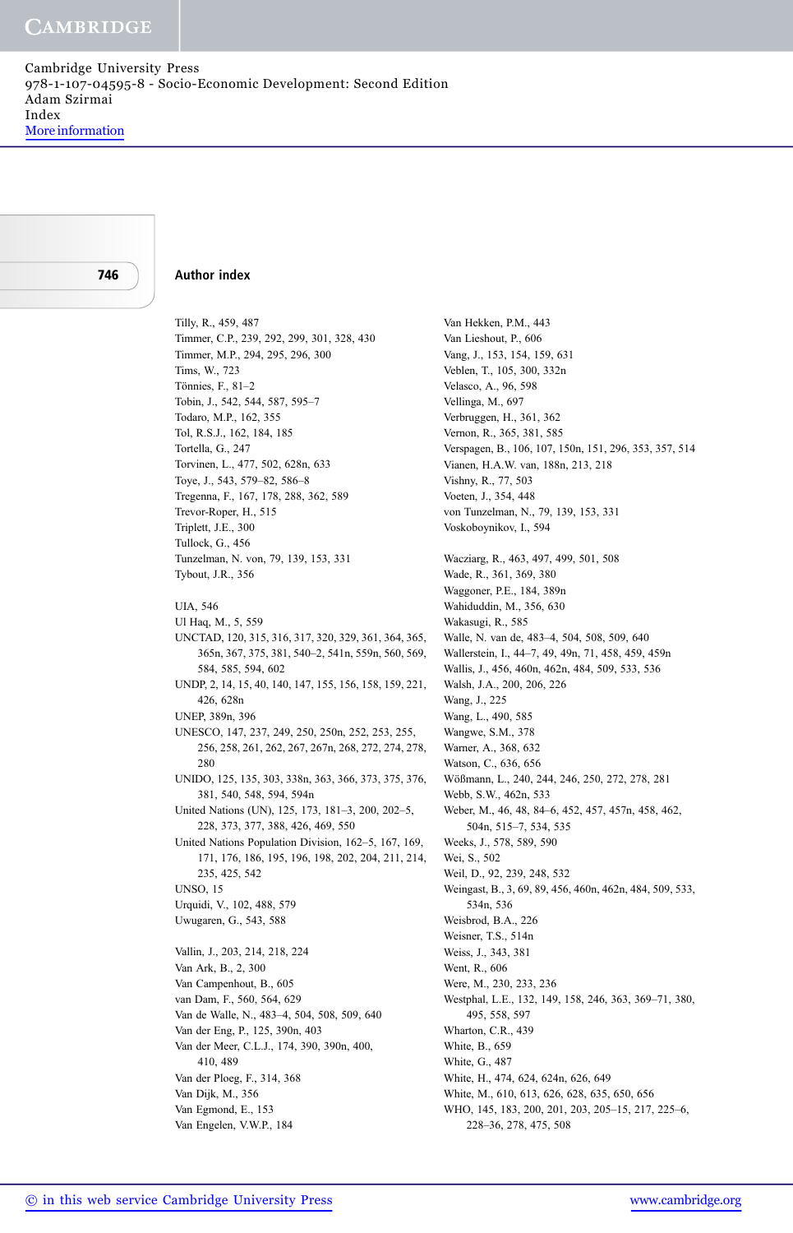746

#### **Author index**

Tilly, R., 459, 487 Timmer, C.P., 239, 292, 299, 301, 328, 430 Timmer, M.P., 294, 295, 296, 300 Tims, W., 723 Tönnies, F., 81-2 Tobin, J., 542, 544, 587, 595-7 Todaro, M.P., 162, 355 Tol, R.S.J., 162, 184, 185 Tortella, G., 247 Torvinen, L., 477, 502, 628n, 633 Toye, J., 543, 579-82, 586-8 Tregenna, F., 167, 178, 288, 362, 589 Trevor-Roper, H., 515 Triplett, J.E., 300 Tullock, G., 456 Tunzelman, N. von, 79, 139, 153, 331 Tybout, J.R., 356 **UIA, 546** Ul Haq, M., 5, 559 UNCTAD, 120, 315, 316, 317, 320, 329, 361, 364, 365, 365n, 367, 375, 381, 540-2, 541n, 559n, 560, 569, 584, 585, 594, 602 UNDP, 2, 14, 15, 40, 140, 147, 155, 156, 158, 159, 221, 426, 628n UNEP. 389n. 396 UNESCO, 147, 237, 249, 250, 250n, 252, 253, 255, 256, 258, 261, 262, 267, 267n, 268, 272, 274, 278, 280 UNIDO, 125, 135, 303, 338n, 363, 366, 373, 375, 376, 381, 540, 548, 594, 594n United Nations (UN), 125, 173, 181-3, 200, 202-5. 228, 373, 377, 388, 426, 469, 550 United Nations Population Division, 162-5, 167, 169, 171, 176, 186, 195, 196, 198, 202, 204, 211, 214, 235, 425, 542 **UNSO 15** Urquidi, V., 102, 488, 579 Uwugaren, G., 543, 588 Vallin, J., 203, 214, 218, 224 Van Ark, B., 2, 300 Van Campenhout, B., 605 van Dam, F., 560, 564, 629 Van de Walle, N., 483-4, 504, 508, 509, 640 Van der Eng, P., 125, 390n, 403 Van der Meer, C.L.J., 174, 390, 390n, 400, 410, 489 Van der Ploeg, F., 314, 368 Van Dijk, M., 356 Van Egmond, E., 153 Van Engelen, V.W.P., 184

Van Hekken, P.M., 443 Van Lieshout, P., 606 Vang, J., 153, 154, 159, 631 Veblen, T., 105, 300, 332n Velasco, A., 96, 598 Vellinga, M., 697 Verbruggen, H., 361, 362 Vernon, R., 365, 381, 585 Verspagen, B., 106, 107, 150n, 151, 296, 353, 357, 514 Vianen, H.A.W. van, 188n, 213, 218 Vishny, R., 77, 503 Voeten, J., 354, 448 von Tunzelman, N., 79, 139, 153, 331 Voskoboynikov, I., 594 Wacziarg, R., 463, 497, 499, 501, 508 Wade, R., 361, 369, 380 Waggoner, P.E., 184, 389n Wahiduddin, M., 356, 630 Wakasugi, R., 585 Walle, N. van de, 483-4, 504, 508, 509, 640 Wallerstein, I., 44-7, 49, 49n, 71, 458, 459, 459n Wallis, J., 456, 460n, 462n, 484, 509, 533, 536 Walsh, J.A., 200, 206, 226 Wang, J., 225 Wang, L., 490, 585 Wangwe, S.M., 378 Warner, A., 368, 632 Watson, C., 636, 656 Wößmann, L., 240, 244, 246, 250, 272, 278, 281 Webb, S.W., 462n, 533 Weber, M., 46, 48, 84-6, 452, 457, 457n, 458, 462, 504n, 515-7, 534, 535 Weeks, J., 578, 589, 590 Wei, S., 502 Weil, D., 92, 239, 248, 532 Weingast, B., 3, 69, 89, 456, 460n, 462n, 484, 509, 533, 534n, 536 Weisbrod, B.A., 226 Weisner, T.S., 514n Weiss, J., 343, 381 Went, R., 606 Were, M., 230, 233, 236 Westphal, L.E., 132, 149, 158, 246, 363, 369-71, 380, 495, 558, 597 Wharton, C.R., 439 White, B., 659 White, G., 487 White, H., 474, 624, 624n, 626, 649 White, M., 610, 613, 626, 628, 635, 650, 656 WHO, 145, 183, 200, 201, 203, 205-15, 217, 225-6, 228-36, 278, 475, 508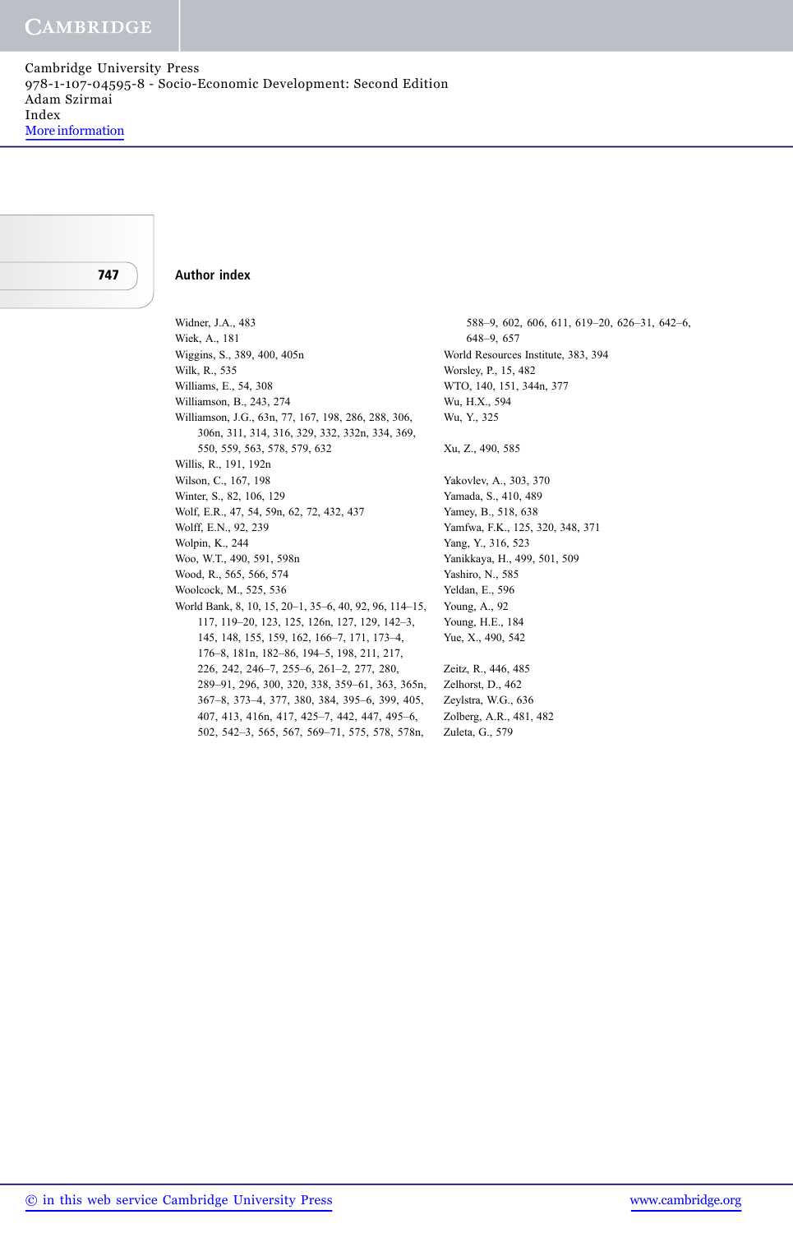Widner, J.A., 483 Wiek, A., 181 Wiggins, S., 389, 400, 405n Wilk, R., 535 Williams, E., 54, 308 Williamson, B., 243, 274 Williamson, J.G., 63n, 77, 167, 198, 286, 288, 306, 306n, 311, 314, 316, 329, 332, 332n, 334, 369, 550, 559, 563, 578, 579, 632 Willis, R., 191, 192n Wilson, C., 167, 198 Winter, S., 82, 106, 129 Wolf, E.R., 47, 54, 59n, 62, 72, 432, 437 Wolff, E.N., 92, 239 Wolpin, K., 244 Woo, W.T., 490, 591, 598n Wood, R., 565, 566, 574 Woolcock, M., 525, 536 World Bank, 8, 10, 15, 20–1, 35–6, 40, 92, 96, 114–15, 117, 119–20, 123, 125, 126n, 127, 129, 142–3, 145, 148, 155, 159, 162, 166–7, 171, 173–4, 176–8, 181n, 182–86, 194–5, 198, 211, 217, 226, 242, 246–7, 255–6, 261–2, 277, 280, 289–91, 296, 300, 320, 338, 359–61, 363, 365n, 367–8, 373–4, 377, 380, 384, 395–6, 399, 405, 407, 413, 416n, 417, 425–7, 442, 447, 495–6, 502, 542–3, 565, 567, 569–71, 575, 578, 578n,

588–9, 602, 606, 611, 619–20, 626–31, 642–6, 648–9, 657 World Resources Institute, 383, 394 Worsley, P., 15, 482 WTO, 140, 151, 344n, 377 Wu, H.X., 594 Wu, Y., 325 Xu, Z., 490, 585 Yakovlev, A., 303, 370 Yamada, S., 410, 489 Yamey, B., 518, 638 Yamfwa, F.K., 125, 320, 348, 371 Yang, Y., 316, 523 Yanikkaya, H., 499, 501, 509 Yashiro, N., 585 Yeldan, E., 596 Young, A., 92 Young, H.E., 184 Yue, X., 490, 542 Zeitz, R., 446, 485 Zelhorst, D., 462 Zeylstra, W.G., 636

Zolberg, A.R., 481, 482 Zuleta, G., 579

© in this web service Cambridge University Press www.cambridge.org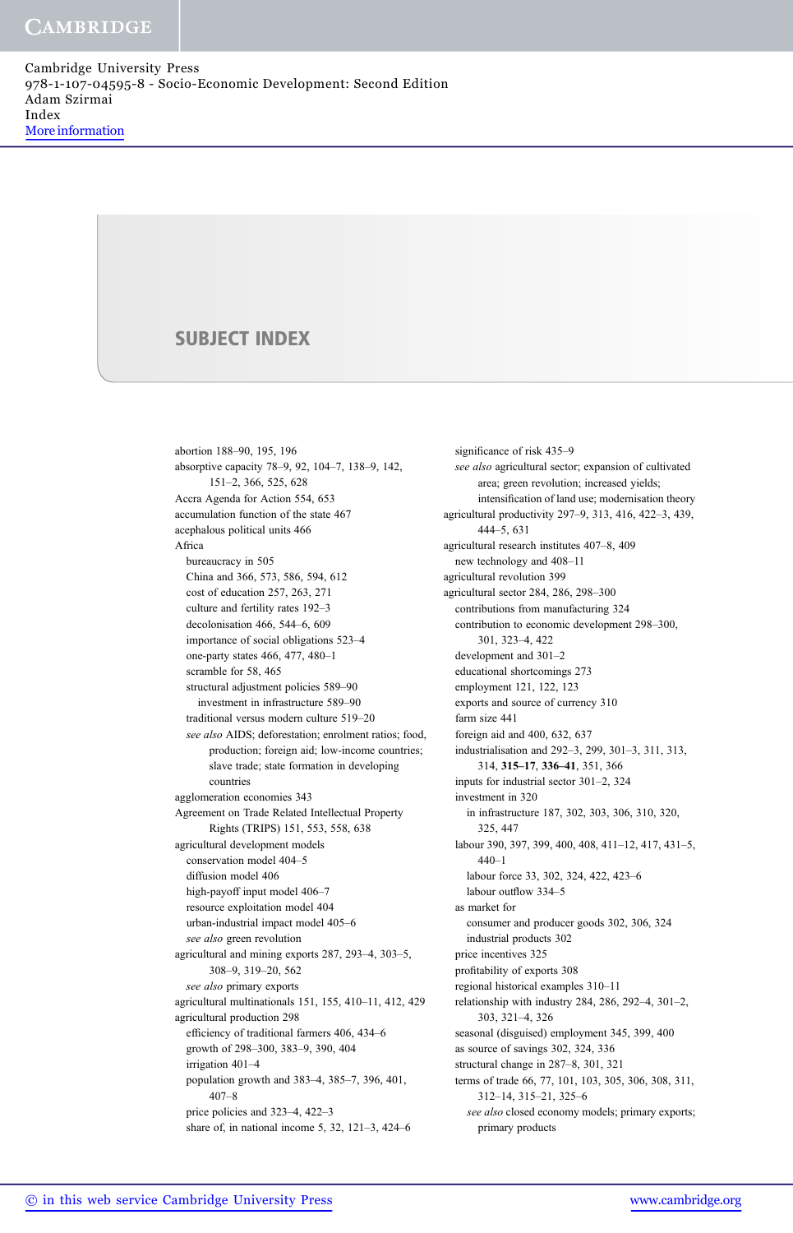**CAMBRIDGE** 

Cambridge University Press 978-1-107-04595-8 - Socio-Economic Development: Second Edition Adam Szirmai Index More information

# SUBJECT INDEX

abortion 188–90, 195, 196 absorptive capacity 78–9, 92, 104–7, 138–9, 142, 151–2, 366, 525, 628 Accra Agenda for Action 554, 653 accumulation function of the state 467 acephalous political units 466 Africa bureaucracy in 505 China and 366, 573, 586, 594, 612 cost of education 257, 263, 271 culture and fertility rates 192–3 decolonisation 466, 544–6, 609 importance of social obligations 523–4 one-party states 466, 477, 480–1 scramble for 58, 465 structural adjustment policies 589–90 investment in infrastructure 589–90 traditional versus modern culture 519–20 see also AIDS; deforestation; enrolment ratios; food, production; foreign aid; low-income countries; slave trade; state formation in developing countries agglomeration economies 343 Agreement on Trade Related Intellectual Property Rights (TRIPS) 151, 553, 558, 638 agricultural development models conservation model 404–5 diffusion model 406 high-payoff input model 406–7 resource exploitation model 404 urban-industrial impact model 405–6 see also green revolution agricultural and mining exports 287, 293–4, 303–5, 308–9, 319–20, 562 see also primary exports agricultural multinationals 151, 155, 410–11, 412, 429 agricultural production 298 efficiency of traditional farmers 406, 434–6 growth of 298–300, 383–9, 390, 404 irrigation 401–4 population growth and 383–4, 385–7, 396, 401, 407–8 price policies and 323–4, 422–3 share of, in national income 5, 32, 121–3, 424–6

significance of risk 435–9 see also agricultural sector; expansion of cultivated area; green revolution; increased yields; intensification of land use; modernisation theory agricultural productivity 297–9, 313, 416, 422–3, 439, 444–5, 631 agricultural research institutes 407–8, 409 new technology and 408–11 agricultural revolution 399 agricultural sector 284, 286, 298–300 contributions from manufacturing 324 contribution to economic development 298–300, 301, 323–4, 422 development and 301–2 educational shortcomings 273 employment 121, 122, 123 exports and source of currency 310 farm size 441 foreign aid and 400, 632, 637 industrialisation and 292–3, 299, 301–3, 311, 313, 314, 315–17, 336–41, 351, 366 inputs for industrial sector 301–2, 324 investment in 320 in infrastructure 187, 302, 303, 306, 310, 320, 325, 447 labour 390, 397, 399, 400, 408, 411–12, 417, 431–5, 440–1 labour force 33, 302, 324, 422, 423–6 labour outflow 334–5 as market for consumer and producer goods 302, 306, 324 industrial products 302 price incentives 325 profitability of exports 308 regional historical examples 310–11 relationship with industry 284, 286, 292–4, 301–2, 303, 321–4, 326 seasonal (disguised) employment 345, 399, 400 as source of savings 302, 324, 336 structural change in 287–8, 301, 321 terms of trade 66, 77, 101, 103, 305, 306, 308, 311, 312–14, 315–21, 325–6 see also closed economy models; primary exports; primary products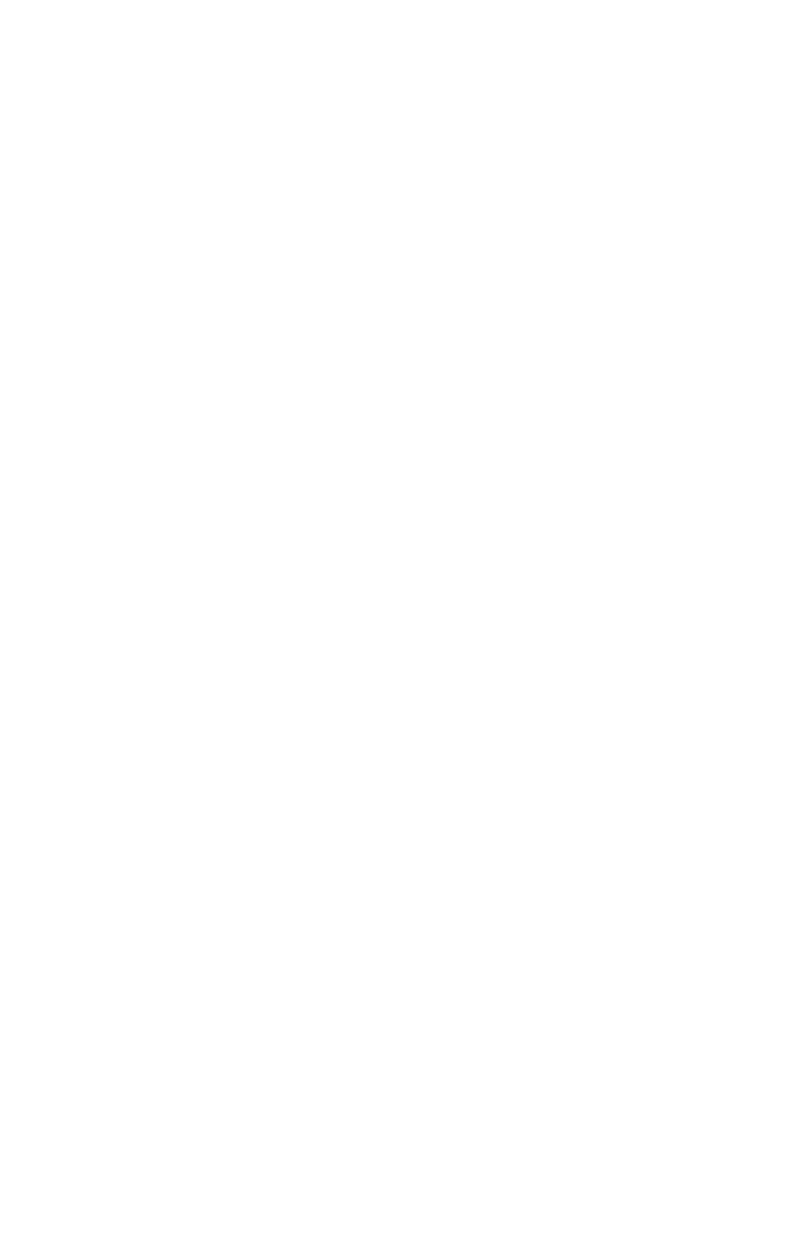

Widner, J.A., 483 Wiek, A., 181 Wiggins, S., 389, 400, 405n Wilk, R., 535 Williams, E., 54, 308 Williamson, B., 243, 274 Williamson, J.G., 63n, 77, 167, 198, 286, 288, 306, 306n, 311, 314, 316, 329, 332, 332n, 334, 369, 550, 559, 563, 578, 579, 632 Willis, R., 191, 192n Wilson, C., 167, 198 Winter, S., 82, 106, 129 Wolf, E.R., 47, 54, 59n, 62, 72, 432, 437 Wolff, E.N., 92, 239 Wolpin, K., 244 Woo, W.T., 490, 591, 598n Wood, R., 565, 566, 574 Woolcock, M., 525, 536 World Bank, 8, 10, 15, 20-1, 35-6, 40, 92, 96, 114-15, 117, 119-20, 123, 125, 126n, 127, 129, 142-3, 145, 148, 155, 159, 162, 166-7, 171, 173-4, 176-8, 181n, 182-86, 194-5, 198, 211, 217, 226, 242, 246-7, 255-6, 261-2, 277, 280, 289-91, 296, 300, 320, 338, 359-61, 363, 365n, 367-8, 373-4, 377, 380, 384, 395-6, 399, 405, 407, 413, 416n, 417, 425-7, 442, 447, 495-6, 502, 542-3, 565, 567, 569-71, 575, 578, 578n,

588-9, 602, 606, 611, 619-20, 626-31, 642-6, 648-9, 657 World Resources Institute, 383, 394 Worsley, P., 15, 482 WTO, 140, 151, 344n, 377 Wu, H.X594 Wu, Y., 325

K Z 490, 585

Yakovlev, A., 303, 370 Yamada, S., 410, 489 Yamey, B., 518, 638 Yamfwa, F.K., 125, 320, 348, 371 Yang, Y., 316, 523 Yanikkaya, H., 499, 501, 509 Yashiro, N., 585 Yeldan, E., 596 Young, A., 92 Young, H.E., 184 Yue, X490, 542 Zitz, R., 446, 485

Zhorst, D., 462 Zylstra, W.G., 636 Ziberg, A.R., 481, 482 *i*Ileta, G., 579